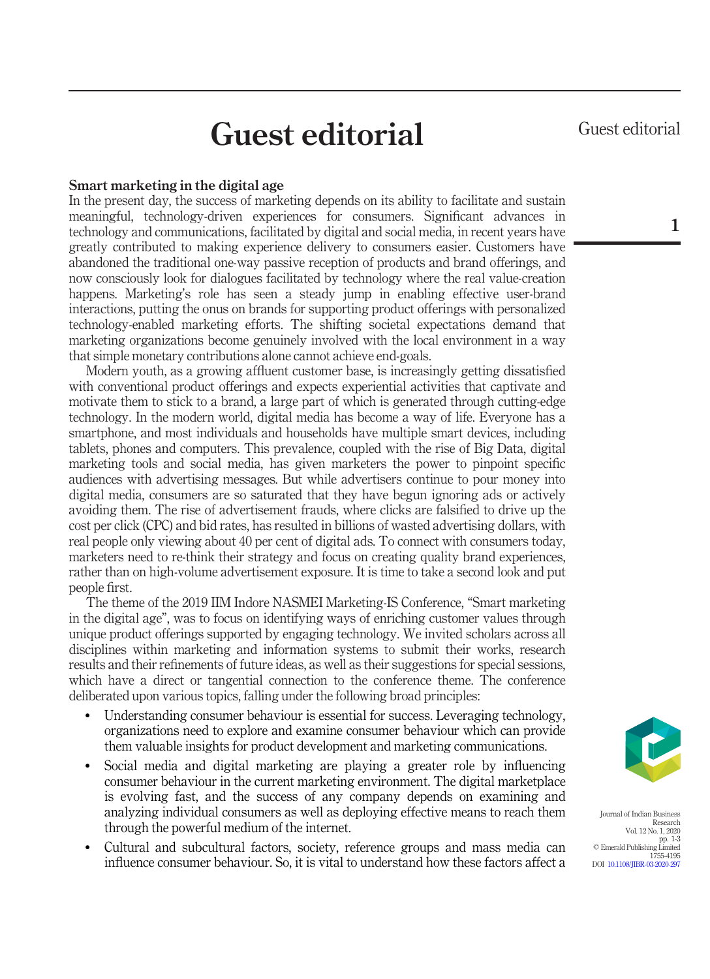## Guest editorial

1

## Smart marketing in the digital age

In the present day, the success of marketing depends on its ability to facilitate and sustain meaningful, technology-driven experiences for consumers. Significant advances in technology and communications, facilitated by digital and social media, in recent years have greatly contributed to making experience delivery to consumers easier. Customers have abandoned the traditional one-way passive reception of products and brand offerings, and now consciously look for dialogues facilitated by technology where the real value-creation happens. Marketing's role has seen a steady jump in enabling effective user-brand interactions, putting the onus on brands for supporting product offerings with personalized technology-enabled marketing efforts. The shifting societal expectations demand that marketing organizations become genuinely involved with the local environment in a way that simple monetary contributions alone cannot achieve end-goals.

Modern youth, as a growing affluent customer base, is increasingly getting dissatisfied with conventional product offerings and expects experiential activities that captivate and motivate them to stick to a brand, a large part of which is generated through cutting-edge technology. In the modern world, digital media has become a way of life. Everyone has a smartphone, and most individuals and households have multiple smart devices, including tablets, phones and computers. This prevalence, coupled with the rise of Big Data, digital marketing tools and social media, has given marketers the power to pinpoint specific audiences with advertising messages. But while advertisers continue to pour money into digital media, consumers are so saturated that they have begun ignoring ads or actively avoiding them. The rise of advertisement frauds, where clicks are falsified to drive up the cost per click (CPC) and bid rates, has resulted in billions of wasted advertising dollars, with real people only viewing about 40 per cent of digital ads. To connect with consumers today, marketers need to re-think their strategy and focus on creating quality brand experiences, rather than on high-volume advertisement exposure. It is time to take a second look and put people first.

The theme of the 2019 IIM Indore NASMEI Marketing-IS Conference, "Smart marketing in the digital age", was to focus on identifying ways of enriching customer values through unique product offerings supported by engaging technology. We invited scholars across all disciplines within marketing and information systems to submit their works, research results and their refinements of future ideas, as well as their suggestions for special sessions, which have a direct or tangential connection to the conference theme. The conference deliberated upon various topics, falling under the following broad principles:

- Understanding consumer behaviour is essential for success. Leveraging technology, organizations need to explore and examine consumer behaviour which can provide them valuable insights for product development and marketing communications.
- Social media and digital marketing are playing a greater role by influencing consumer behaviour in the current marketing environment. The digital marketplace is evolving fast, and the success of any company depends on examining and analyzing individual consumers as well as deploying effective means to reach them through the powerful medium of the internet.
- Cultural and subcultural factors, society, reference groups and mass media can influence consumer behaviour. So, it is vital to understand how these factors affect a



Journal of Indian Business Research Nesearch pp. 1-3 © Emerald Publishing Limited 1755-4195 DOI 10.1108/JIBR-03-2020-297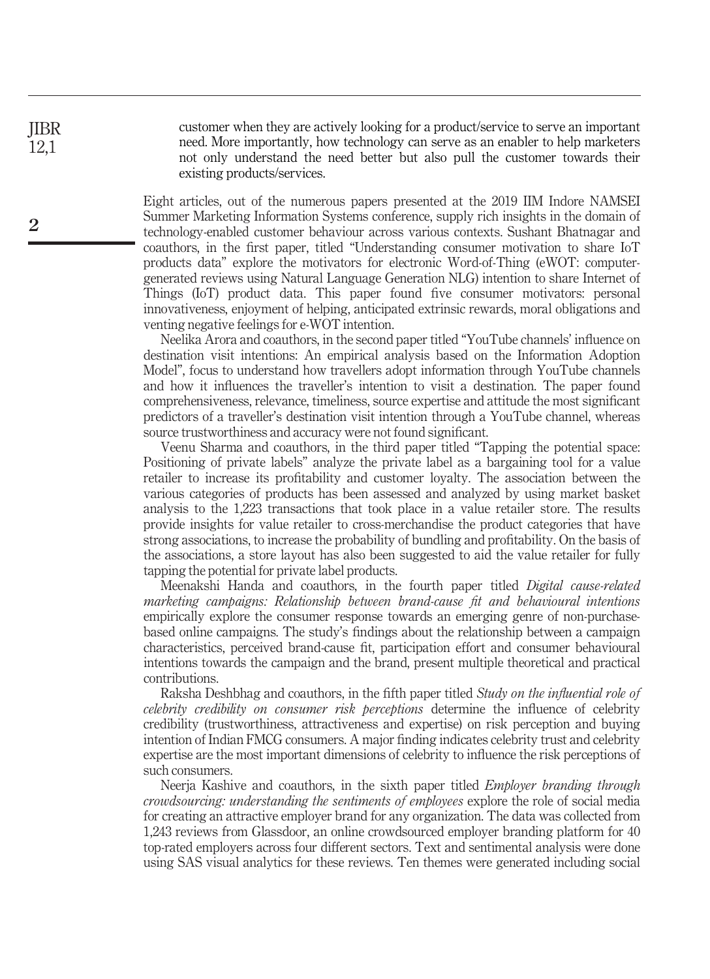customer when they are actively looking for a product/service to serve an important need. More importantly, how technology can serve as an enabler to help marketers not only understand the need better but also pull the customer towards their existing products/services.

Eight articles, out of the numerous papers presented at the 2019 IIM Indore NAMSEI Summer Marketing Information Systems conference, supply rich insights in the domain of technology-enabled customer behaviour across various contexts. Sushant Bhatnagar and coauthors, in the first paper, titled "Understanding consumer motivation to share IoT products data" explore the motivators for electronic Word-of-Thing (eWOT: computergenerated reviews using Natural Language Generation NLG) intention to share Internet of Things (IoT) product data. This paper found five consumer motivators: personal innovativeness, enjoyment of helping, anticipated extrinsic rewards, moral obligations and venting negative feelings for e-WOT intention.

Neelika Arora and coauthors, in the second paper titled "YouTube channels' influence on destination visit intentions: An empirical analysis based on the Information Adoption Model", focus to understand how travellers adopt information through YouTube channels and how it influences the traveller's intention to visit a destination. The paper found comprehensiveness, relevance, timeliness, source expertise and attitude the most significant predictors of a traveller's destination visit intention through a YouTube channel, whereas source trustworthiness and accuracy were not found significant.

Veenu Sharma and coauthors, in the third paper titled "Tapping the potential space: Positioning of private labels" analyze the private label as a bargaining tool for a value retailer to increase its profitability and customer loyalty. The association between the various categories of products has been assessed and analyzed by using market basket analysis to the 1,223 transactions that took place in a value retailer store. The results provide insights for value retailer to cross-merchandise the product categories that have strong associations, to increase the probability of bundling and profitability. On the basis of the associations, a store layout has also been suggested to aid the value retailer for fully tapping the potential for private label products.

Meenakshi Handa and coauthors, in the fourth paper titled *Digital cause-related* marketing campaigns: Relationship between brand-cause fit and behavioural intentions empirically explore the consumer response towards an emerging genre of non-purchasebased online campaigns. The study's findings about the relationship between a campaign characteristics, perceived brand-cause fit, participation effort and consumer behavioural intentions towards the campaign and the brand, present multiple theoretical and practical contributions.

Raksha Deshbhag and coauthors, in the fifth paper titled Study on the influential role of celebrity credibility on consumer risk perceptions determine the influence of celebrity credibility (trustworthiness, attractiveness and expertise) on risk perception and buying intention of Indian FMCG consumers. A major finding indicates celebrity trust and celebrity expertise are the most important dimensions of celebrity to influence the risk perceptions of such consumers.

Neeria Kashive and coauthors, in the sixth paper titled *Employer branding through* crowdsourcing: understanding the sentiments of employees explore the role of social media for creating an attractive employer brand for any organization. The data was collected from 1,243 reviews from Glassdoor, an online crowdsourced employer branding platform for 40 top-rated employers across four different sectors. Text and sentimental analysis were done using SAS visual analytics for these reviews. Ten themes were generated including social

2

JIBR 12,1